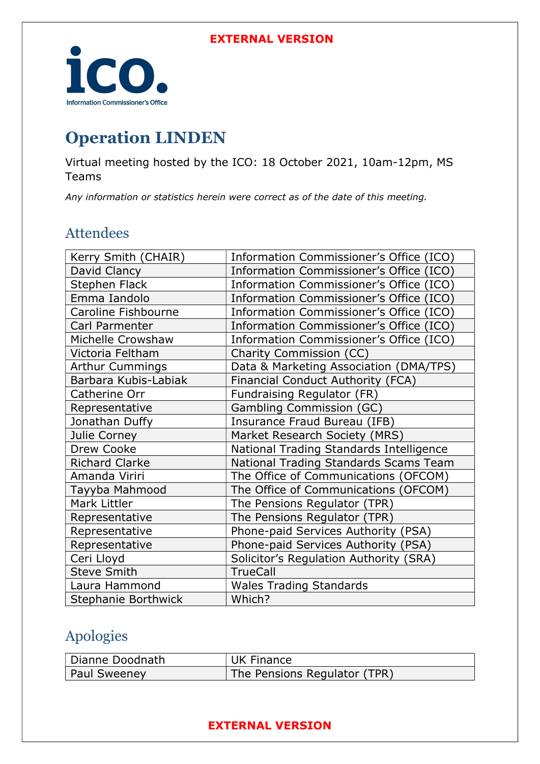

# Operation LINDEN

Virtual meeting hosted by the ICO: 18 October 2021, 10am-12pm, MS Teams

Any information or statistics herein were correct as of the date of this meeting.

### Attendees

| Kerry Smith (CHAIR)        | Information Commissioner's Office (ICO) |
|----------------------------|-----------------------------------------|
| David Clancy               | Information Commissioner's Office (ICO) |
| <b>Stephen Flack</b>       | Information Commissioner's Office (ICO) |
| Emma Iandolo               | Information Commissioner's Office (ICO) |
| Caroline Fishbourne        | Information Commissioner's Office (ICO) |
| Carl Parmenter             | Information Commissioner's Office (ICO) |
| Michelle Crowshaw          | Information Commissioner's Office (ICO) |
| Victoria Feltham           | Charity Commission (CC)                 |
| <b>Arthur Cummings</b>     | Data & Marketing Association (DMA/TPS)  |
| Barbara Kubis-Labiak       | Financial Conduct Authority (FCA)       |
| Catherine Orr              | Fundraising Regulator (FR)              |
| Representative             | Gambling Commission (GC)                |
| Jonathan Duffy             | Insurance Fraud Bureau (IFB)            |
| Julie Corney               | Market Research Society (MRS)           |
| Drew Cooke                 | National Trading Standards Intelligence |
| <b>Richard Clarke</b>      | National Trading Standards Scams Team   |
| Amanda Viriri              | The Office of Communications (OFCOM)    |
| Tayyba Mahmood             | The Office of Communications (OFCOM)    |
| Mark Littler               | The Pensions Regulator (TPR)            |
| Representative             | The Pensions Regulator (TPR)            |
| Representative             | Phone-paid Services Authority (PSA)     |
| Representative             | Phone-paid Services Authority (PSA)     |
| Ceri Lloyd                 | Solicitor's Regulation Authority (SRA)  |
| <b>Steve Smith</b>         | <b>TrueCall</b>                         |
| Laura Hammond              | <b>Wales Trading Standards</b>          |
| <b>Stephanie Borthwick</b> | Which?                                  |
|                            |                                         |

# Apologies

| Dianne Doodnath | UK Finance                   |
|-----------------|------------------------------|
| Paul Sweeney    | The Pensions Regulator (TPR) |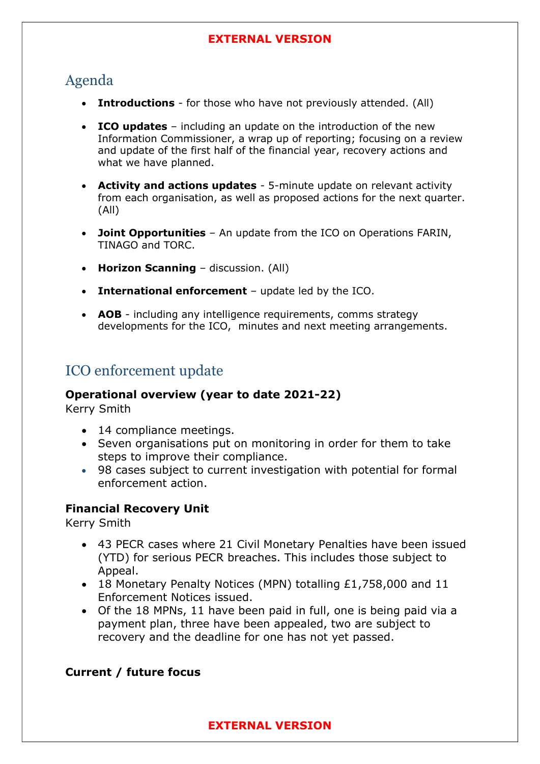# Agenda

- Introductions for those who have not previously attended. (All)
- ICO updates including an update on the introduction of the new Information Commissioner, a wrap up of reporting; focusing on a review and update of the first half of the financial year, recovery actions and what we have planned.
- Activity and actions updates 5-minute update on relevant activity from each organisation, as well as proposed actions for the next quarter. (All)
- Joint Opportunities An update from the ICO on Operations FARIN, TINAGO and TORC.
- Horizon Scanning discussion. (All)
- International enforcement update led by the ICO.
- AOB including any intelligence requirements, comms strategy developments for the ICO, minutes and next meeting arrangements.

### ICO enforcement update

#### Operational overview (year to date 2021-22)

Kerry Smith

- 14 compliance meetings.
- Seven organisations put on monitoring in order for them to take steps to improve their compliance.
- 98 cases subject to current investigation with potential for formal enforcement action.

### Financial Recovery Unit

Kerry Smith

- 43 PECR cases where 21 Civil Monetary Penalties have been issued (YTD) for serious PECR breaches. This includes those subject to Appeal.
- 18 Monetary Penalty Notices (MPN) totalling £1,758,000 and 11 Enforcement Notices issued.
- Of the 18 MPNs, 11 have been paid in full, one is being paid via a payment plan, three have been appealed, two are subject to recovery and the deadline for one has not yet passed.

### Current / future focus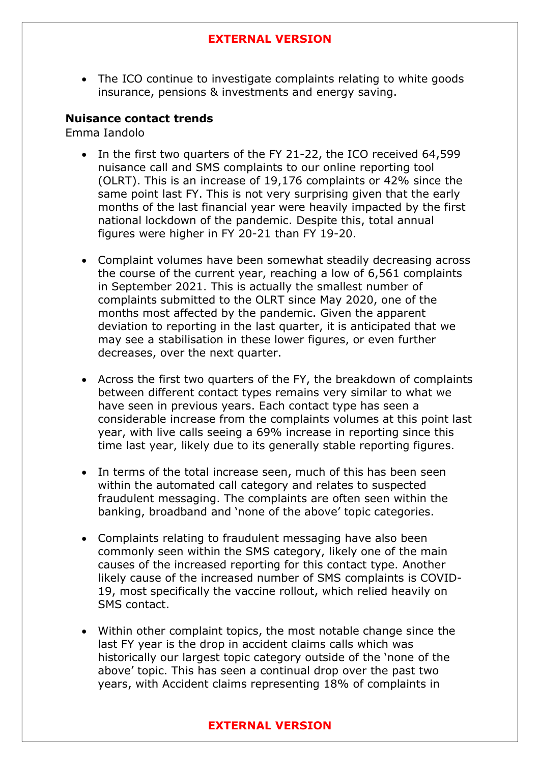• The ICO continue to investigate complaints relating to white goods insurance, pensions & investments and energy saving.

#### Nuisance contact trends

Emma Iandolo

- In the first two quarters of the FY 21-22, the ICO received 64,599 nuisance call and SMS complaints to our online reporting tool (OLRT). This is an increase of 19,176 complaints or 42% since the same point last FY. This is not very surprising given that the early months of the last financial year were heavily impacted by the first national lockdown of the pandemic. Despite this, total annual figures were higher in FY 20-21 than FY 19-20.
- Complaint volumes have been somewhat steadily decreasing across the course of the current year, reaching a low of 6,561 complaints in September 2021. This is actually the smallest number of complaints submitted to the OLRT since May 2020, one of the months most affected by the pandemic. Given the apparent deviation to reporting in the last quarter, it is anticipated that we may see a stabilisation in these lower figures, or even further decreases, over the next quarter.
- Across the first two quarters of the FY, the breakdown of complaints between different contact types remains very similar to what we have seen in previous years. Each contact type has seen a considerable increase from the complaints volumes at this point last year, with live calls seeing a 69% increase in reporting since this time last year, likely due to its generally stable reporting figures.
- In terms of the total increase seen, much of this has been seen within the automated call category and relates to suspected fraudulent messaging. The complaints are often seen within the banking, broadband and 'none of the above' topic categories.
- Complaints relating to fraudulent messaging have also been commonly seen within the SMS category, likely one of the main causes of the increased reporting for this contact type. Another likely cause of the increased number of SMS complaints is COVID-19, most specifically the vaccine rollout, which relied heavily on SMS contact.
- Within other complaint topics, the most notable change since the last FY year is the drop in accident claims calls which was historically our largest topic category outside of the 'none of the above' topic. This has seen a continual drop over the past two years, with Accident claims representing 18% of complaints in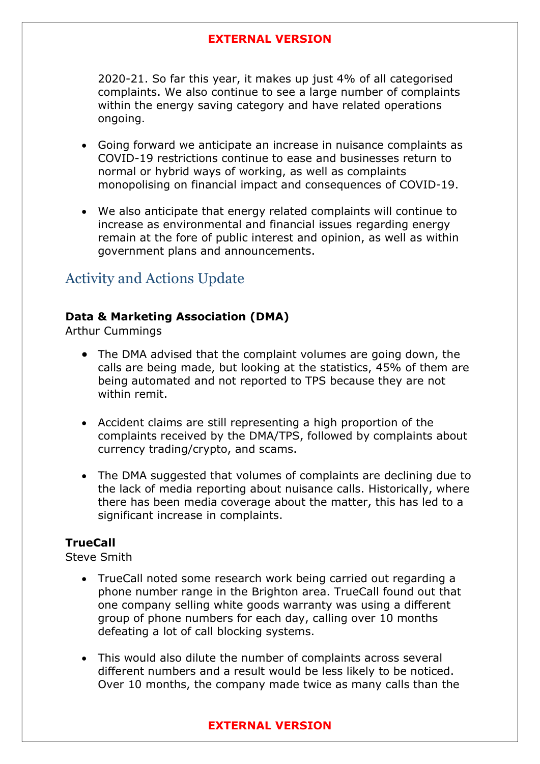2020-21. So far this year, it makes up just 4% of all categorised complaints. We also continue to see a large number of complaints within the energy saving category and have related operations ongoing.

- Going forward we anticipate an increase in nuisance complaints as COVID-19 restrictions continue to ease and businesses return to normal or hybrid ways of working, as well as complaints monopolising on financial impact and consequences of COVID-19.
- We also anticipate that energy related complaints will continue to increase as environmental and financial issues regarding energy remain at the fore of public interest and opinion, as well as within government plans and announcements.

### Activity and Actions Update

### Data & Marketing Association (DMA)

Arthur Cummings

- The DMA advised that the complaint volumes are going down, the calls are being made, but looking at the statistics, 45% of them are being automated and not reported to TPS because they are not within remit.
- Accident claims are still representing a high proportion of the complaints received by the DMA/TPS, followed by complaints about currency trading/crypto, and scams.
- The DMA suggested that volumes of complaints are declining due to the lack of media reporting about nuisance calls. Historically, where there has been media coverage about the matter, this has led to a significant increase in complaints.

### **TrueCall**

Steve Smith

- TrueCall noted some research work being carried out regarding a phone number range in the Brighton area. TrueCall found out that one company selling white goods warranty was using a different group of phone numbers for each day, calling over 10 months defeating a lot of call blocking systems.
- This would also dilute the number of complaints across several different numbers and a result would be less likely to be noticed. Over 10 months, the company made twice as many calls than the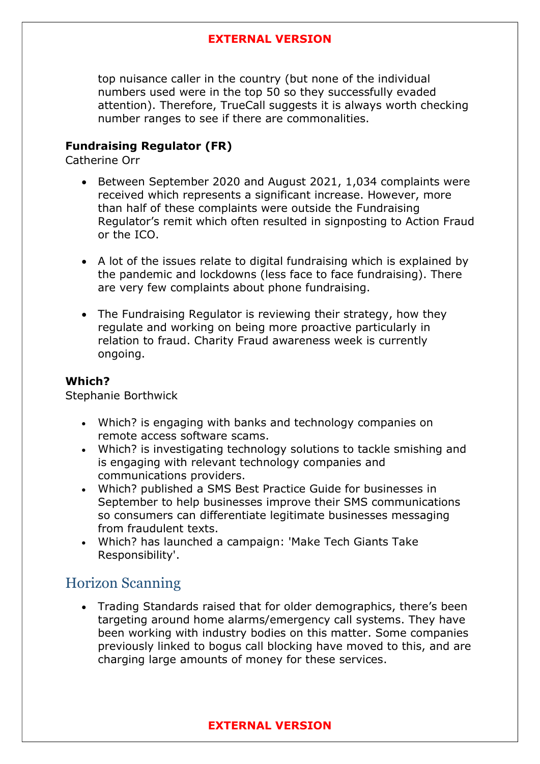top nuisance caller in the country (but none of the individual numbers used were in the top 50 so they successfully evaded attention). Therefore, TrueCall suggests it is always worth checking number ranges to see if there are commonalities.

### Fundraising Regulator (FR)

Catherine Orr

- Between September 2020 and August 2021, 1,034 complaints were received which represents a significant increase. However, more than half of these complaints were outside the Fundraising Regulator's remit which often resulted in signposting to Action Fraud or the ICO.
- A lot of the issues relate to digital fundraising which is explained by the pandemic and lockdowns (less face to face fundraising). There are very few complaints about phone fundraising.
- The Fundraising Regulator is reviewing their strategy, how they regulate and working on being more proactive particularly in relation to fraud. Charity Fraud awareness week is currently ongoing.

### Which?

Stephanie Borthwick

- Which? is engaging with banks and technology companies on remote access software scams.
- Which? is investigating technology solutions to tackle smishing and is engaging with relevant technology companies and communications providers.
- Which? published a SMS Best Practice Guide for businesses in September to help businesses improve their SMS communications so consumers can differentiate legitimate businesses messaging from fraudulent texts.
- Which? has launched a campaign: 'Make Tech Giants Take Responsibility'.

### Horizon Scanning

 Trading Standards raised that for older demographics, there's been targeting around home alarms/emergency call systems. They have been working with industry bodies on this matter. Some companies previously linked to bogus call blocking have moved to this, and are charging large amounts of money for these services.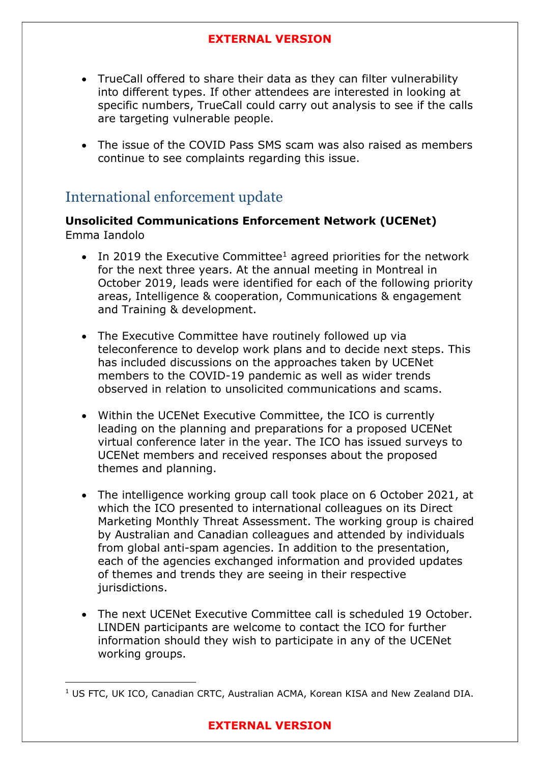- TrueCall offered to share their data as they can filter vulnerability into different types. If other attendees are interested in looking at specific numbers, TrueCall could carry out analysis to see if the calls are targeting vulnerable people.
- The issue of the COVID Pass SMS scam was also raised as members continue to see complaints regarding this issue.

### International enforcement update

### Unsolicited Communications Enforcement Network (UCENet) Emma Iandolo

- In 2019 the Executive Committee<sup>1</sup> agreed priorities for the network for the next three years. At the annual meeting in Montreal in October 2019, leads were identified for each of the following priority areas, Intelligence & cooperation, Communications & engagement and Training & development.
- The Executive Committee have routinely followed up via teleconference to develop work plans and to decide next steps. This has included discussions on the approaches taken by UCENet members to the COVID-19 pandemic as well as wider trends observed in relation to unsolicited communications and scams.
- Within the UCENet Executive Committee, the ICO is currently leading on the planning and preparations for a proposed UCENet virtual conference later in the year. The ICO has issued surveys to UCENet members and received responses about the proposed themes and planning.
- The intelligence working group call took place on 6 October 2021, at which the ICO presented to international colleagues on its Direct Marketing Monthly Threat Assessment. The working group is chaired by Australian and Canadian colleagues and attended by individuals from global anti-spam agencies. In addition to the presentation, each of the agencies exchanged information and provided updates of themes and trends they are seeing in their respective jurisdictions.
- The next UCENet Executive Committee call is scheduled 19 October. LINDEN participants are welcome to contact the ICO for further information should they wish to participate in any of the UCENet working groups.

<sup>&</sup>lt;sup>1</sup> US FTC, UK ICO, Canadian CRTC, Australian ACMA, Korean KISA and New Zealand DIA.